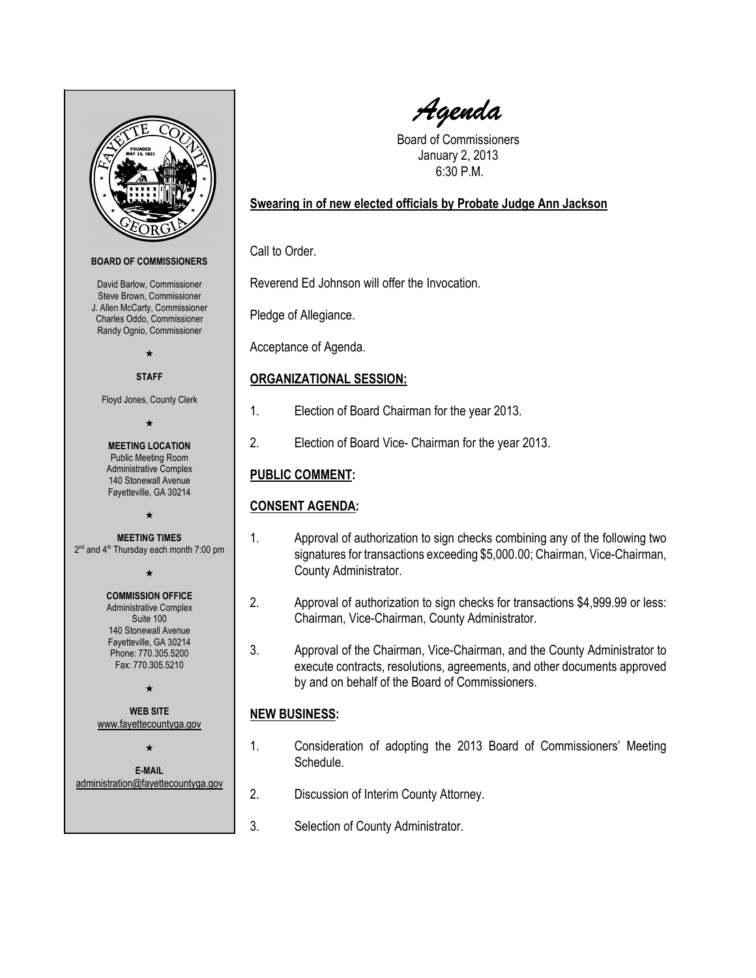<span id="page-0-0"></span>

Agenda

Board of Commissioners January 2, 2013 6:30 P.M.

### Swearing in of new elected officials by Probate Judge Ann Jackson

Call to Order.

Reverend Ed Johnson will offer the Invocation.

Pledge of Allegiance.

Acceptance of Agenda.

### ORGANIZATIONAL SESSION:

- 1. Election of Board Chairman for the year 2013.
- 2. Election of Board Vice- Chairman for the year 2013.

# PUBLIC COMMENT:

## CONSENT AGENDA:

- 1. Approval of authorization to sign checks combining any of the following two signatures for transactions exceeding \$5,000.00; Chairman, Vice-Chairman, County Administrator.
- 2. Approval of authorization to sign checks for transactions \$4,999.99 or less: Chairman, Vice-Chairman, County Administrator.
- 3. Approval of the Chairman, Vice-Chairman, and the County Administrator to execute contracts, resolutions, agreements, and other documents approved by and on behalf of the Board of Commissioners.

## NEW BUSINESS:

- 1. Consideration of adopting the 2013 Board of Commissioners' Meeting Schedule.
- 2. Discussion of Interim County Attorney.
- 3. Selection of County Administrator.